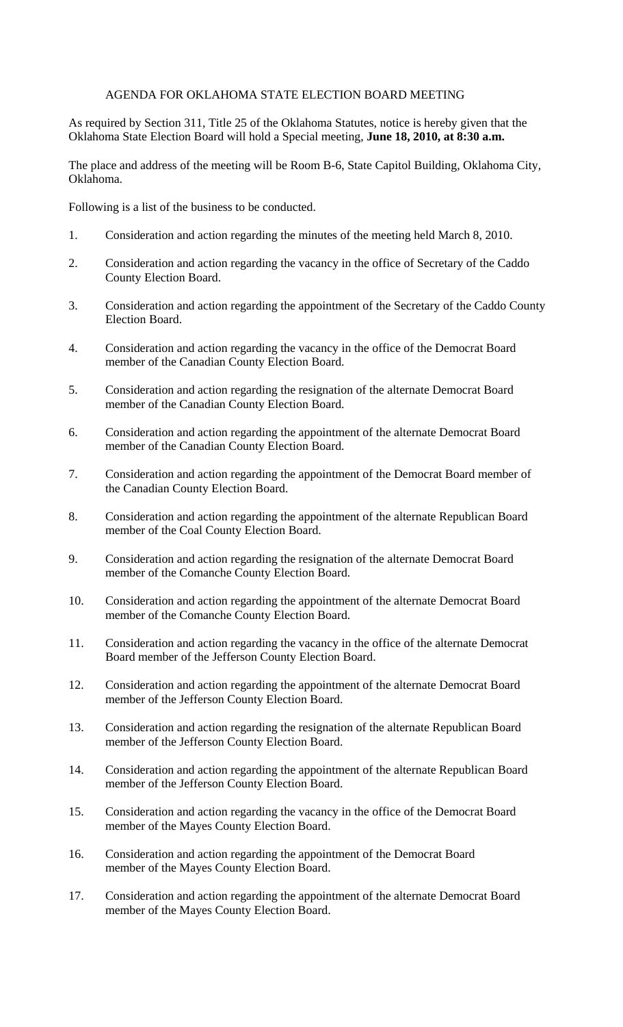## AGENDA FOR OKLAHOMA STATE ELECTION BOARD MEETING

As required by Section 311, Title 25 of the Oklahoma Statutes, notice is hereby given that the Oklahoma State Election Board will hold a Special meeting, **June 18, 2010, at 8:30 a.m.**

The place and address of the meeting will be Room B-6, State Capitol Building, Oklahoma City, Oklahoma.

Following is a list of the business to be conducted.

- 1. Consideration and action regarding the minutes of the meeting held March 8, 2010.
- 2. Consideration and action regarding the vacancy in the office of Secretary of the Caddo County Election Board.
- 3. Consideration and action regarding the appointment of the Secretary of the Caddo County Election Board.
- 4. Consideration and action regarding the vacancy in the office of the Democrat Board member of the Canadian County Election Board.
- 5. Consideration and action regarding the resignation of the alternate Democrat Board member of the Canadian County Election Board.
- 6. Consideration and action regarding the appointment of the alternate Democrat Board member of the Canadian County Election Board.
- 7. Consideration and action regarding the appointment of the Democrat Board member of the Canadian County Election Board.
- 8. Consideration and action regarding the appointment of the alternate Republican Board member of the Coal County Election Board.
- 9. Consideration and action regarding the resignation of the alternate Democrat Board member of the Comanche County Election Board.
- 10. Consideration and action regarding the appointment of the alternate Democrat Board member of the Comanche County Election Board.
- 11. Consideration and action regarding the vacancy in the office of the alternate Democrat Board member of the Jefferson County Election Board.
- 12. Consideration and action regarding the appointment of the alternate Democrat Board member of the Jefferson County Election Board.
- 13. Consideration and action regarding the resignation of the alternate Republican Board member of the Jefferson County Election Board.
- 14. Consideration and action regarding the appointment of the alternate Republican Board member of the Jefferson County Election Board.
- 15. Consideration and action regarding the vacancy in the office of the Democrat Board member of the Mayes County Election Board.
- 16. Consideration and action regarding the appointment of the Democrat Board member of the Mayes County Election Board.
- 17. Consideration and action regarding the appointment of the alternate Democrat Board member of the Mayes County Election Board.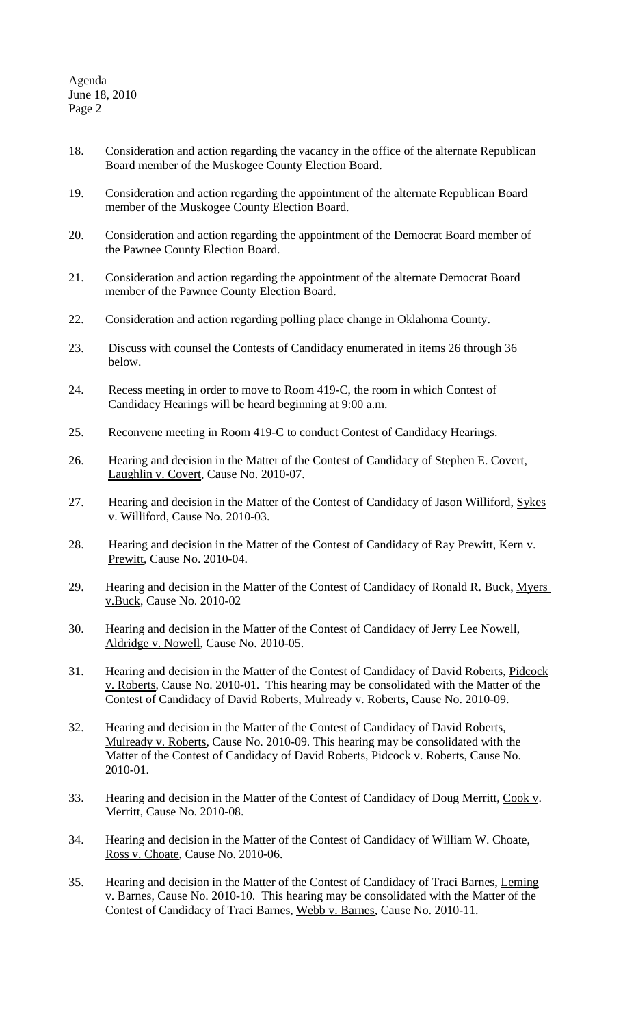Agenda June 18, 2010 Page 2

- 18. Consideration and action regarding the vacancy in the office of the alternate Republican Board member of the Muskogee County Election Board.
- 19. Consideration and action regarding the appointment of the alternate Republican Board member of the Muskogee County Election Board.
- 20. Consideration and action regarding the appointment of the Democrat Board member of the Pawnee County Election Board.
- 21. Consideration and action regarding the appointment of the alternate Democrat Board member of the Pawnee County Election Board.
- 22. Consideration and action regarding polling place change in Oklahoma County.
- 23. Discuss with counsel the Contests of Candidacy enumerated in items 26 through 36 below.
- 24. Recess meeting in order to move to Room 419-C, the room in which Contest of Candidacy Hearings will be heard beginning at 9:00 a.m.
- 25. Reconvene meeting in Room 419-C to conduct Contest of Candidacy Hearings.
- 26. Hearing and decision in the Matter of the Contest of Candidacy of Stephen E. Covert, Laughlin v. Covert, Cause No. 2010-07.
- 27. Hearing and decision in the Matter of the Contest of Candidacy of Jason Williford, Sykes v. Williford, Cause No. 2010-03.
- 28. Hearing and decision in the Matter of the Contest of Candidacy of Ray Prewitt, Kern v. Prewitt, Cause No. 2010-04.
- 29. Hearing and decision in the Matter of the Contest of Candidacy of Ronald R. Buck, Myers v.Buck, Cause No. 2010-02
- 30. Hearing and decision in the Matter of the Contest of Candidacy of Jerry Lee Nowell, Aldridge v. Nowell, Cause No. 2010-05.
- 31. Hearing and decision in the Matter of the Contest of Candidacy of David Roberts, Pidcock v. Roberts, Cause No. 2010-01. This hearing may be consolidated with the Matter of the Contest of Candidacy of David Roberts, Mulready v. Roberts, Cause No. 2010-09.
- 32. Hearing and decision in the Matter of the Contest of Candidacy of David Roberts, Mulready v. Roberts, Cause No. 2010-09. This hearing may be consolidated with the Matter of the Contest of Candidacy of David Roberts, Pidcock v. Roberts, Cause No. 2010-01.
- 33. Hearing and decision in the Matter of the Contest of Candidacy of Doug Merritt, Cook v. Merritt, Cause No. 2010-08.
- 34. Hearing and decision in the Matter of the Contest of Candidacy of William W. Choate, Ross v. Choate, Cause No. 2010-06.
- 35. Hearing and decision in the Matter of the Contest of Candidacy of Traci Barnes, Leming v. Barnes, Cause No. 2010-10. This hearing may be consolidated with the Matter of the Contest of Candidacy of Traci Barnes, Webb v. Barnes, Cause No. 2010-11.